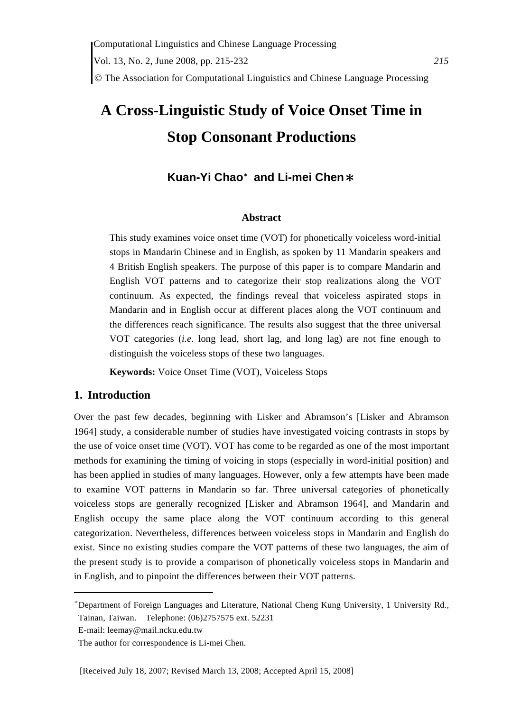# **A Cross-Linguistic Study of Voice Onset Time in Stop Consonant Productions**

## **Kuan-Yi Chao**\* **and Li-mei Chen**\*

#### **Abstract**

This study examines voice onset time (VOT) for phonetically voiceless word-initial stops in Mandarin Chinese and in English, as spoken by 11 Mandarin speakers and 4 British English speakers. The purpose of this paper is to compare Mandarin and English VOT patterns and to categorize their stop realizations along the VOT continuum. As expected, the findings reveal that voiceless aspirated stops in Mandarin and in English occur at different places along the VOT continuum and the differences reach significance. The results also suggest that the three universal VOT categories (*i.e*. long lead, short lag, and long lag) are not fine enough to distinguish the voiceless stops of these two languages.

**Keywords:** Voice Onset Time (VOT), Voiceless Stops

## **1. Introduction**

Over the past few decades, beginning with Lisker and Abramson's [Lisker and Abramson 1964] study, a considerable number of studies have investigated voicing contrasts in stops by the use of voice onset time (VOT). VOT has come to be regarded as one of the most important methods for examining the timing of voicing in stops (especially in word-initial position) and has been applied in studies of many languages. However, only a few attempts have been made to examine VOT patterns in Mandarin so far. Three universal categories of phonetically voiceless stops are generally recognized [Lisker and Abramson 1964], and Mandarin and English occupy the same place along the VOT continuum according to this general categorization. Nevertheless, differences between voiceless stops in Mandarin and English do exist. Since no existing studies compare the VOT patterns of these two languages, the aim of the present study is to provide a comparison of phonetically voiceless stops in Mandarin and in English, and to pinpoint the differences between their VOT patterns.

<sup>\*</sup>Department of Foreign Languages and Literature, National Cheng Kung University, 1 University Rd., Tainan, Taiwan. Telephone: (06)2757575 ext. 52231

E-mail: leemay@mail.ncku.edu.tw

The author for correspondence is Li-mei Chen.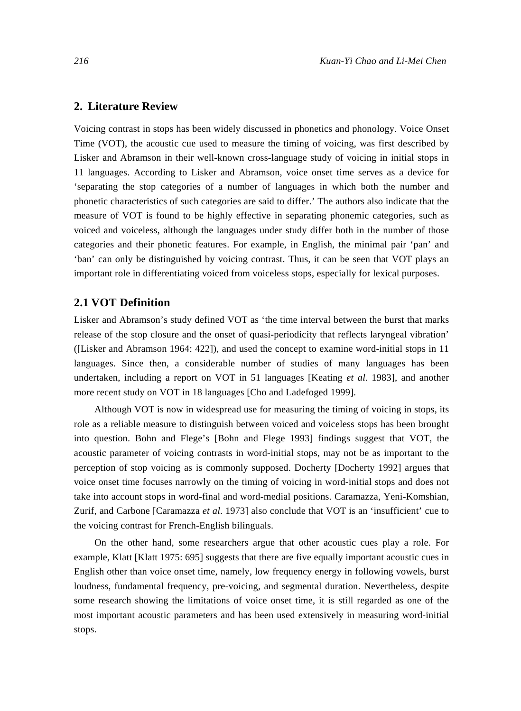#### **2. Literature Review**

Voicing contrast in stops has been widely discussed in phonetics and phonology. Voice Onset Time (VOT), the acoustic cue used to measure the timing of voicing, was first described by Lisker and Abramson in their well-known cross-language study of voicing in initial stops in 11 languages. According to Lisker and Abramson, voice onset time serves as a device for 'separating the stop categories of a number of languages in which both the number and phonetic characteristics of such categories are said to differ.' The authors also indicate that the measure of VOT is found to be highly effective in separating phonemic categories, such as voiced and voiceless, although the languages under study differ both in the number of those categories and their phonetic features. For example, in English, the minimal pair 'pan' and 'ban' can only be distinguished by voicing contrast. Thus, it can be seen that VOT plays an important role in differentiating voiced from voiceless stops, especially for lexical purposes.

#### **2.1 VOT Definition**

Lisker and Abramson's study defined VOT as 'the time interval between the burst that marks release of the stop closure and the onset of quasi-periodicity that reflects laryngeal vibration' ([Lisker and Abramson 1964: 422]), and used the concept to examine word-initial stops in 11 languages. Since then, a considerable number of studies of many languages has been undertaken, including a report on VOT in 51 languages [Keating *et al.* 1983], and another more recent study on VOT in 18 languages [Cho and Ladefoged 1999].

Although VOT is now in widespread use for measuring the timing of voicing in stops, its role as a reliable measure to distinguish between voiced and voiceless stops has been brought into question. Bohn and Flege's [Bohn and Flege 1993] findings suggest that VOT, the acoustic parameter of voicing contrasts in word-initial stops, may not be as important to the perception of stop voicing as is commonly supposed. Docherty [Docherty 1992] argues that voice onset time focuses narrowly on the timing of voicing in word-initial stops and does not take into account stops in word-final and word-medial positions. Caramazza, Yeni-Komshian, Zurif, and Carbone [Caramazza *et al*. 1973] also conclude that VOT is an 'insufficient' cue to the voicing contrast for French-English bilinguals.

On the other hand, some researchers argue that other acoustic cues play a role. For example, Klatt [Klatt 1975: 695] suggests that there are five equally important acoustic cues in English other than voice onset time, namely, low frequency energy in following vowels, burst loudness, fundamental frequency, pre-voicing, and segmental duration. Nevertheless, despite some research showing the limitations of voice onset time, it is still regarded as one of the most important acoustic parameters and has been used extensively in measuring word-initial stops.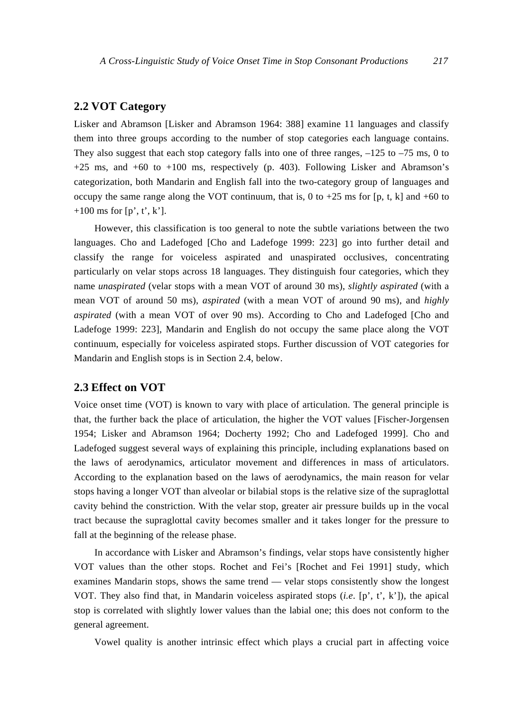## **2.2 VOT Category**

Lisker and Abramson [Lisker and Abramson 1964: 388] examine 11 languages and classify them into three groups according to the number of stop categories each language contains. They also suggest that each stop category falls into one of three ranges,  $-125$  to  $-75$  ms, 0 to  $+25$  ms, and  $+60$  to  $+100$  ms, respectively (p. 403). Following Lisker and Abramson's categorization, both Mandarin and English fall into the two-category group of languages and occupy the same range along the VOT continuum, that is, 0 to +25 ms for [p, t, k] and +60 to  $+100$  ms for [p', t', k'].

However, this classification is too general to note the subtle variations between the two languages. Cho and Ladefoged [Cho and Ladefoge 1999: 223] go into further detail and classify the range for voiceless aspirated and unaspirated occlusives, concentrating particularly on velar stops across 18 languages. They distinguish four categories, which they name *unaspirated* (velar stops with a mean VOT of around 30 ms), *slightly aspirated* (with a mean VOT of around 50 ms), *aspirated* (with a mean VOT of around 90 ms), and *highly aspirated* (with a mean VOT of over 90 ms). According to Cho and Ladefoged [Cho and Ladefoge 1999: 223], Mandarin and English do not occupy the same place along the VOT continuum, especially for voiceless aspirated stops. Further discussion of VOT categories for Mandarin and English stops is in Section 2.4, below.

#### **2.3 Effect on VOT**

Voice onset time (VOT) is known to vary with place of articulation. The general principle is that, the further back the place of articulation, the higher the VOT values [Fischer-Jorgensen 1954; Lisker and Abramson 1964; Docherty 1992; Cho and Ladefoged 1999]. Cho and Ladefoged suggest several ways of explaining this principle, including explanations based on the laws of aerodynamics, articulator movement and differences in mass of articulators. According to the explanation based on the laws of aerodynamics, the main reason for velar stops having a longer VOT than alveolar or bilabial stops is the relative size of the supraglottal cavity behind the constriction. With the velar stop, greater air pressure builds up in the vocal tract because the supraglottal cavity becomes smaller and it takes longer for the pressure to fall at the beginning of the release phase.

In accordance with Lisker and Abramson's findings, velar stops have consistently higher VOT values than the other stops. Rochet and Fei's [Rochet and Fei 1991] study, which examines Mandarin stops, shows the same trend — velar stops consistently show the longest VOT. They also find that, in Mandarin voiceless aspirated stops (*i.e*. [p', t', k']), the apical stop is correlated with slightly lower values than the labial one; this does not conform to the general agreement.

Vowel quality is another intrinsic effect which plays a crucial part in affecting voice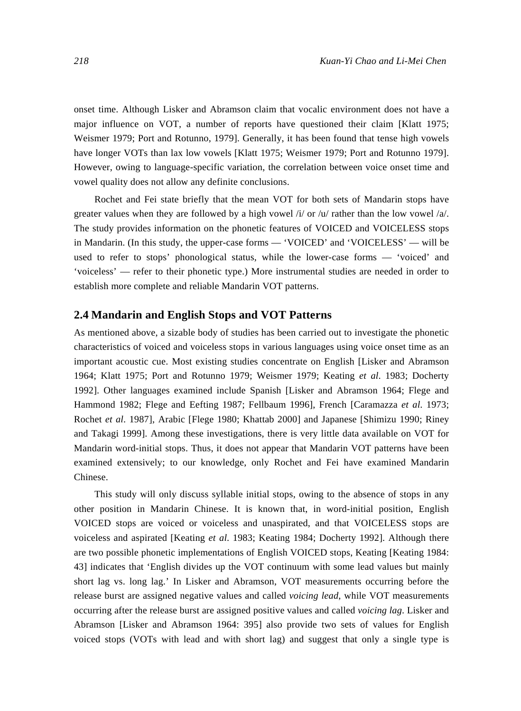onset time. Although Lisker and Abramson claim that vocalic environment does not have a major influence on VOT, a number of reports have questioned their claim [Klatt 1975; Weismer 1979; Port and Rotunno, 1979]. Generally, it has been found that tense high vowels have longer VOTs than lax low vowels [Klatt 1975; Weismer 1979; Port and Rotunno 1979]. However, owing to language-specific variation, the correlation between voice onset time and vowel quality does not allow any definite conclusions.

Rochet and Fei state briefly that the mean VOT for both sets of Mandarin stops have greater values when they are followed by a high vowel  $\frac{i}{v}$  or  $\frac{1}{v}$  rather than the low vowel  $\frac{1}{a}$ . The study provides information on the phonetic features of VOICED and VOICELESS stops in Mandarin. (In this study, the upper-case forms — 'VOICED' and 'VOICELESS' — will be used to refer to stops' phonological status, while the lower-case forms — 'voiced' and 'voiceless' — refer to their phonetic type.) More instrumental studies are needed in order to establish more complete and reliable Mandarin VOT patterns.

#### **2.4 Mandarin and English Stops and VOT Patterns**

As mentioned above, a sizable body of studies has been carried out to investigate the phonetic characteristics of voiced and voiceless stops in various languages using voice onset time as an important acoustic cue. Most existing studies concentrate on English [Lisker and Abramson 1964; Klatt 1975; Port and Rotunno 1979; Weismer 1979; Keating *et al*. 1983; Docherty 1992]. Other languages examined include Spanish [Lisker and Abramson 1964; Flege and Hammond 1982; Flege and Eefting 1987; Fellbaum 1996], French [Caramazza *et al*. 1973; Rochet *et al*. 1987], Arabic [Flege 1980; Khattab 2000] and Japanese [Shimizu 1990; Riney and Takagi 1999]. Among these investigations, there is very little data available on VOT for Mandarin word-initial stops. Thus, it does not appear that Mandarin VOT patterns have been examined extensively; to our knowledge, only Rochet and Fei have examined Mandarin Chinese.

This study will only discuss syllable initial stops, owing to the absence of stops in any other position in Mandarin Chinese. It is known that, in word-initial position, English VOICED stops are voiced or voiceless and unaspirated, and that VOICELESS stops are voiceless and aspirated [Keating *et al*. 1983; Keating 1984; Docherty 1992]. Although there are two possible phonetic implementations of English VOICED stops, Keating [Keating 1984: 43] indicates that 'English divides up the VOT continuum with some lead values but mainly short lag vs. long lag.' In Lisker and Abramson, VOT measurements occurring before the release burst are assigned negative values and called *voicing lead*, while VOT measurements occurring after the release burst are assigned positive values and called *voicing lag*. Lisker and Abramson [Lisker and Abramson 1964: 395] also provide two sets of values for English voiced stops (VOTs with lead and with short lag) and suggest that only a single type is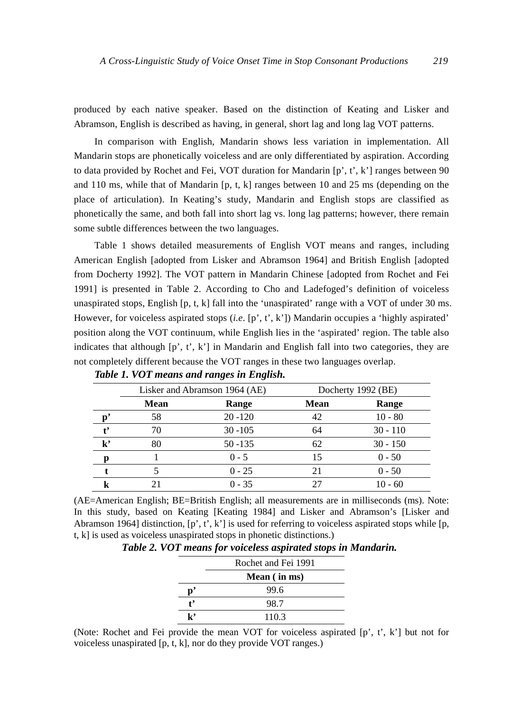produced by each native speaker. Based on the distinction of Keating and Lisker and Abramson, English is described as having, in general, short lag and long lag VOT patterns.

In comparison with English, Mandarin shows less variation in implementation. All Mandarin stops are phonetically voiceless and are only differentiated by aspiration. According to data provided by Rochet and Fei, VOT duration for Mandarin  $[p', t', k']$  ranges between 90 and 110 ms, while that of Mandarin [p, t, k] ranges between 10 and 25 ms (depending on the place of articulation). In Keating's study, Mandarin and English stops are classified as phonetically the same, and both fall into short lag vs. long lag patterns; however, there remain some subtle differences between the two languages.

Table 1 shows detailed measurements of English VOT means and ranges, including American English [adopted from Lisker and Abramson 1964] and British English [adopted from Docherty 1992]. The VOT pattern in Mandarin Chinese [adopted from Rochet and Fei 1991] is presented in Table 2. According to Cho and Ladefoged's definition of voiceless unaspirated stops, English  $[p, t, k]$  fall into the 'unaspirated' range with a VOT of under 30 ms. However, for voiceless aspirated stops (*i.e*. [p', t', k']) Mandarin occupies a 'highly aspirated' position along the VOT continuum, while English lies in the 'aspirated' region. The table also indicates that although  $[p', t', k']$  in Mandarin and English fall into two categories, they are not completely different because the VOT ranges in these two languages overlap.

|                        | Lisker and Abramson 1964 (AE) |            | Docherty 1992 (BE) |            |  |
|------------------------|-------------------------------|------------|--------------------|------------|--|
|                        | <b>Mean</b>                   | Range      | <b>Mean</b>        | Range      |  |
|                        | 58                            | $20 - 120$ | 42                 | $10 - 80$  |  |
|                        | 70                            | $30 - 105$ | 64                 | $30 - 110$ |  |
| $\mathbf{k}^{\bullet}$ | 80                            | $50 - 135$ | 62                 | $30 - 150$ |  |
|                        |                               | $0 - 5$    | 15                 | $0 - 50$   |  |
|                        |                               | $0 - 25$   | 21                 | $0 - 50$   |  |
|                        |                               | $0 - 35$   |                    | $10 - 60$  |  |

*Table 1. VOT means and ranges in English.* 

(AE=American English; BE=British English; all measurements are in milliseconds (ms). Note: In this study, based on Keating [Keating 1984] and Lisker and Abramson's [Lisker and Abramson 1964] distinction,  $[p', t', k']$  is used for referring to voiceless aspirated stops while  $[p,$ t, k] is used as voiceless unaspirated stops in phonetic distinctions.)

| Table 2. VOT means for voiceless aspirated stops in Mandarin. |  |  |  |  |  |
|---------------------------------------------------------------|--|--|--|--|--|
|---------------------------------------------------------------|--|--|--|--|--|

|    | Rochet and Fei 1991 |
|----|---------------------|
|    | Mean (in ms)        |
| Ď  | 99.6                |
| t, | 98.7                |
| k, | 110.3               |

(Note: Rochet and Fei provide the mean VOT for voiceless aspirated [p', t', k'] but not for voiceless unaspirated [p, t, k], nor do they provide VOT ranges.)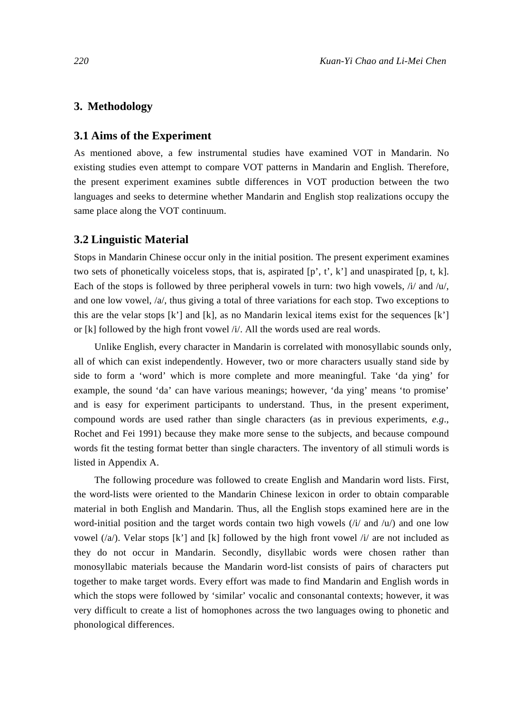#### **3. Methodology**

#### **3.1 Aims of the Experiment**

As mentioned above, a few instrumental studies have examined VOT in Mandarin. No existing studies even attempt to compare VOT patterns in Mandarin and English. Therefore, the present experiment examines subtle differences in VOT production between the two languages and seeks to determine whether Mandarin and English stop realizations occupy the same place along the VOT continuum.

#### **3.2 Linguistic Material**

Stops in Mandarin Chinese occur only in the initial position. The present experiment examines two sets of phonetically voiceless stops, that is, aspirated  $[p', t', k']$  and unaspirated  $[p, t, k]$ . Each of the stops is followed by three peripheral vowels in turn: two high vowels, /i/ and /u/, and one low vowel,  $/a$ , thus giving a total of three variations for each stop. Two exceptions to this are the velar stops  $[k']$  and  $[k]$ , as no Mandarin lexical items exist for the sequences  $[k']$ or [k] followed by the high front vowel /i/. All the words used are real words.

Unlike English, every character in Mandarin is correlated with monosyllabic sounds only, all of which can exist independently. However, two or more characters usually stand side by side to form a 'word' which is more complete and more meaningful. Take 'da ying' for example, the sound 'da' can have various meanings; however, 'da ying' means 'to promise' and is easy for experiment participants to understand. Thus, in the present experiment, compound words are used rather than single characters (as in previous experiments, *e.g*., Rochet and Fei 1991) because they make more sense to the subjects, and because compound words fit the testing format better than single characters. The inventory of all stimuli words is listed in Appendix A.

The following procedure was followed to create English and Mandarin word lists. First, the word-lists were oriented to the Mandarin Chinese lexicon in order to obtain comparable material in both English and Mandarin. Thus, all the English stops examined here are in the word-initial position and the target words contain two high vowels  $(i/$  and  $(u)$  and one low vowel  $(\alpha)$ . Velar stops [k'] and [k] followed by the high front vowel  $\beta$  are not included as they do not occur in Mandarin. Secondly, disyllabic words were chosen rather than monosyllabic materials because the Mandarin word-list consists of pairs of characters put together to make target words. Every effort was made to find Mandarin and English words in which the stops were followed by 'similar' vocalic and consonantal contexts; however, it was very difficult to create a list of homophones across the two languages owing to phonetic and phonological differences.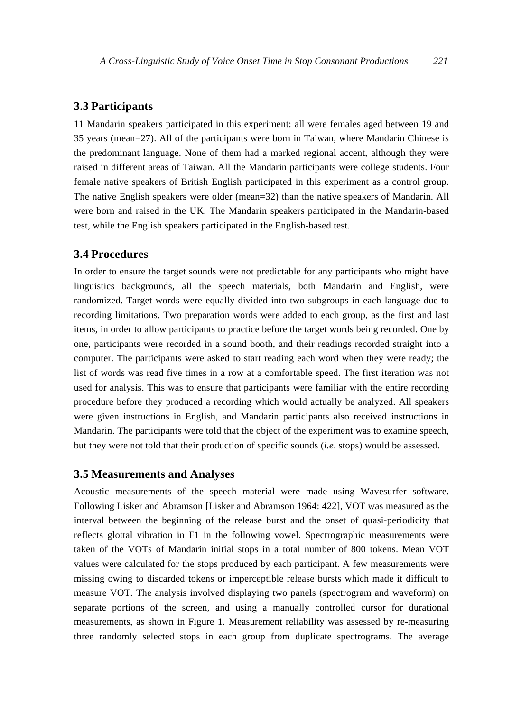#### **3.3 Participants**

11 Mandarin speakers participated in this experiment: all were females aged between 19 and 35 years (mean=27). All of the participants were born in Taiwan, where Mandarin Chinese is the predominant language. None of them had a marked regional accent, although they were raised in different areas of Taiwan. All the Mandarin participants were college students. Four female native speakers of British English participated in this experiment as a control group. The native English speakers were older (mean=32) than the native speakers of Mandarin. All were born and raised in the UK. The Mandarin speakers participated in the Mandarin-based test, while the English speakers participated in the English-based test.

## **3.4 Procedures**

In order to ensure the target sounds were not predictable for any participants who might have linguistics backgrounds, all the speech materials, both Mandarin and English, were randomized. Target words were equally divided into two subgroups in each language due to recording limitations. Two preparation words were added to each group, as the first and last items, in order to allow participants to practice before the target words being recorded. One by one, participants were recorded in a sound booth, and their readings recorded straight into a computer. The participants were asked to start reading each word when they were ready; the list of words was read five times in a row at a comfortable speed. The first iteration was not used for analysis. This was to ensure that participants were familiar with the entire recording procedure before they produced a recording which would actually be analyzed. All speakers were given instructions in English, and Mandarin participants also received instructions in Mandarin. The participants were told that the object of the experiment was to examine speech, but they were not told that their production of specific sounds (*i.e*. stops) would be assessed.

#### **3.5 Measurements and Analyses**

Acoustic measurements of the speech material were made using Wavesurfer software. Following Lisker and Abramson [Lisker and Abramson 1964: 422], VOT was measured as the interval between the beginning of the release burst and the onset of quasi-periodicity that reflects glottal vibration in F1 in the following vowel. Spectrographic measurements were taken of the VOTs of Mandarin initial stops in a total number of 800 tokens. Mean VOT values were calculated for the stops produced by each participant. A few measurements were missing owing to discarded tokens or imperceptible release bursts which made it difficult to measure VOT. The analysis involved displaying two panels (spectrogram and waveform) on separate portions of the screen, and using a manually controlled cursor for durational measurements, as shown in Figure 1. Measurement reliability was assessed by re-measuring three randomly selected stops in each group from duplicate spectrograms. The average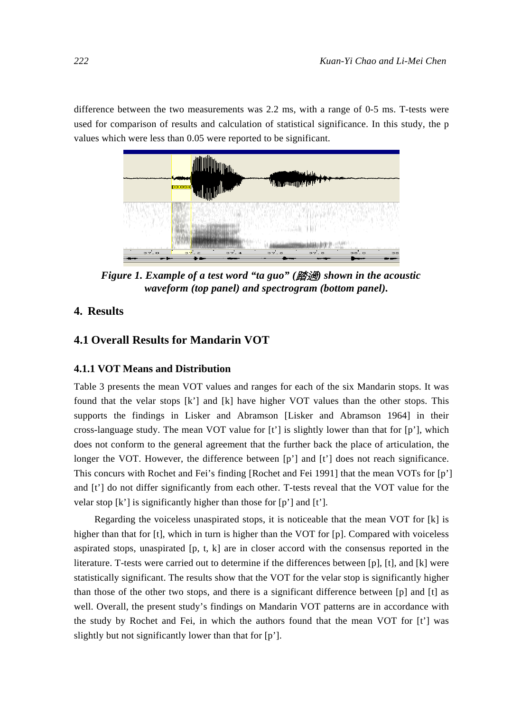difference between the two measurements was 2.2 ms, with a range of 0-5 ms. T-tests were used for comparison of results and calculation of statistical significance. In this study, the p values which were less than 0.05 were reported to be significant.



*Figure 1. Example of a test word "ta guo" (*踏過*) shown in the acoustic waveform (top panel) and spectrogram (bottom panel).* 

## **4. Results**

## **4.1 Overall Results for Mandarin VOT**

## **4.1.1 VOT Means and Distribution**

Table 3 presents the mean VOT values and ranges for each of the six Mandarin stops. It was found that the velar stops [k'] and [k] have higher VOT values than the other stops. This supports the findings in Lisker and Abramson [Lisker and Abramson 1964] in their cross-language study. The mean VOT value for  $[t']$  is slightly lower than that for  $[p']$ , which does not conform to the general agreement that the further back the place of articulation, the longer the VOT. However, the difference between [p'] and [t'] does not reach significance. This concurs with Rochet and Fei's finding [Rochet and Fei 1991] that the mean VOTs for [p'] and [t'] do not differ significantly from each other. T-tests reveal that the VOT value for the velar stop [k'] is significantly higher than those for [p'] and [t'].

Regarding the voiceless unaspirated stops, it is noticeable that the mean VOT for [k] is higher than that for [t], which in turn is higher than the VOT for [p]. Compared with voiceless aspirated stops, unaspirated  $[p, t, k]$  are in closer accord with the consensus reported in the literature. T-tests were carried out to determine if the differences between [p], [t], and [k] were statistically significant. The results show that the VOT for the velar stop is significantly higher than those of the other two stops, and there is a significant difference between [p] and [t] as well. Overall, the present study's findings on Mandarin VOT patterns are in accordance with the study by Rochet and Fei, in which the authors found that the mean VOT for  $[t]$  was slightly but not significantly lower than that for [p'].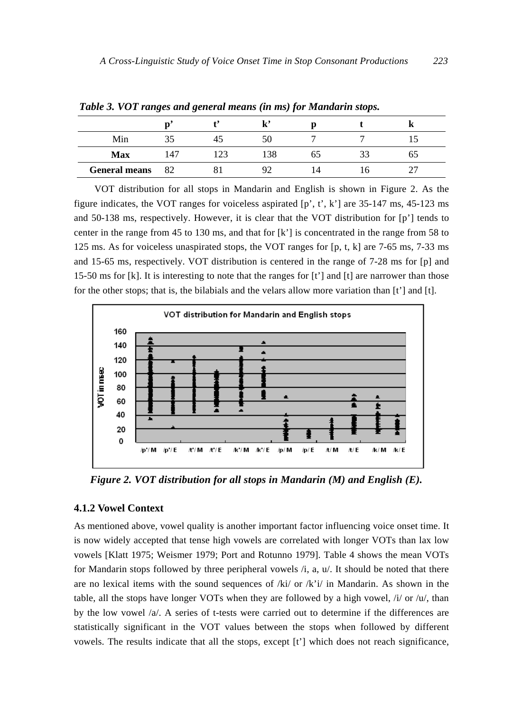| .                    |      | . The set of $\mathcal{N}$ is a simple set of the set of $\mathcal{N}$ is a set of $\mathcal{N}$ |    |    |  |
|----------------------|------|--------------------------------------------------------------------------------------------------|----|----|--|
|                      |      | ı,,                                                                                              |    |    |  |
| Min                  |      | 50                                                                                               |    |    |  |
| <b>Max</b>           | 147  | 138                                                                                              | 65 | 33 |  |
| <b>General means</b> | - 82 | Q <sub>2</sub>                                                                                   | 14 |    |  |

*Table 3. VOT ranges and general means (in ms) for Mandarin stops.* 

VOT distribution for all stops in Mandarin and English is shown in Figure 2. As the figure indicates, the VOT ranges for voiceless aspirated  $[p, t, k']$  are 35-147 ms, 45-123 ms and 50-138 ms, respectively. However, it is clear that the VOT distribution for [p'] tends to center in the range from 45 to 130 ms, and that for [k'] is concentrated in the range from 58 to 125 ms. As for voiceless unaspirated stops, the VOT ranges for [p, t, k] are 7-65 ms, 7-33 ms and 15-65 ms, respectively. VOT distribution is centered in the range of 7-28 ms for [p] and 15-50 ms for [k]. It is interesting to note that the ranges for [t'] and [t] are narrower than those for the other stops; that is, the bilabials and the velars allow more variation than  $[t']$  and  $[t]$ .



*Figure 2. VOT distribution for all stops in Mandarin (M) and English (E).* 

#### **4.1.2 Vowel Context**

As mentioned above, vowel quality is another important factor influencing voice onset time. It is now widely accepted that tense high vowels are correlated with longer VOTs than lax low vowels [Klatt 1975; Weismer 1979; Port and Rotunno 1979]. Table 4 shows the mean VOTs for Mandarin stops followed by three peripheral vowels /i, a, u/. It should be noted that there are no lexical items with the sound sequences of  $/ki/$  or  $/ki$  in Mandarin. As shown in the table, all the stops have longer VOTs when they are followed by a high vowel, /i/ or /u/, than by the low vowel  $\alpha$ . A series of t-tests were carried out to determine if the differences are statistically significant in the VOT values between the stops when followed by different vowels. The results indicate that all the stops, except [t'] which does not reach significance,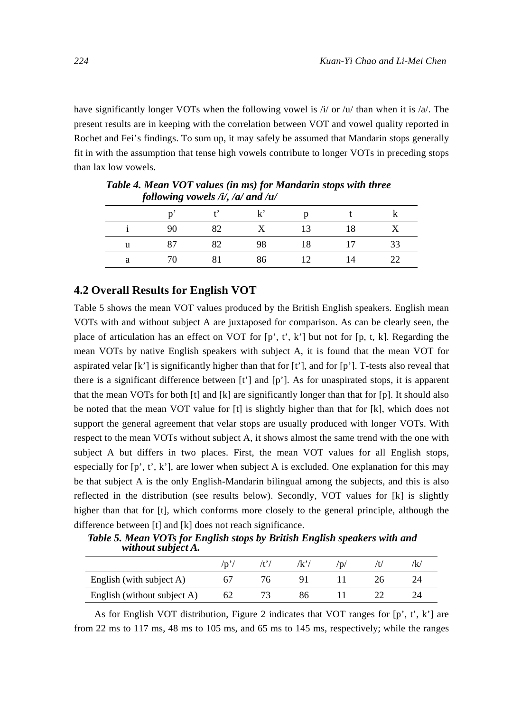have significantly longer VOTs when the following vowel is  $/i$  or  $/u$  than when it is  $/a$ . The present results are in keeping with the correlation between VOT and vowel quality reported in Rochet and Fei's findings. To sum up, it may safely be assumed that Mandarin stops generally fit in with the assumption that tense high vowels contribute to longer VOTs in preceding stops than lax low vowels.

|    |     | $t'$ k' |                 |            |     |
|----|-----|---------|-----------------|------------|-----|
| 90 | 82  | X       | 13              | 18         |     |
| 87 | 82  |         | 98 18 17        |            | -33 |
|    | 81. |         | $\overline{12}$ | $\sqrt{4}$ |     |

*Table 4. Mean VOT values (in ms) for Mandarin stops with three following vowels /i/, /a/ and /u/* 

## **4.2 Overall Results for English VOT**

Table 5 shows the mean VOT values produced by the British English speakers. English mean VOTs with and without subject A are juxtaposed for comparison. As can be clearly seen, the place of articulation has an effect on VOT for  $[p, t, k']$  but not for  $[p, t, k]$ . Regarding the mean VOTs by native English speakers with subject A, it is found that the mean VOT for aspirated velar  $[k']$  is significantly higher than that for  $[t']$ , and for  $[p']$ . T-tests also reveal that there is a significant difference between  $[t]$  and  $[p]$ . As for unaspirated stops, it is apparent that the mean VOTs for both [t] and [k] are significantly longer than that for [p]. It should also be noted that the mean VOT value for [t] is slightly higher than that for [k], which does not support the general agreement that velar stops are usually produced with longer VOTs. With respect to the mean VOTs without subject A, it shows almost the same trend with the one with subject A but differs in two places. First, the mean VOT values for all English stops, especially for  $[p', t', k']$ , are lower when subject A is excluded. One explanation for this may be that subject A is the only English-Mandarin bilingual among the subjects, and this is also reflected in the distribution (see results below). Secondly, VOT values for [k] is slightly higher than that for [t], which conforms more closely to the general principle, although the difference between [t] and [k] does not reach significance.

*Table 5. Mean VOTs for English stops by British English speakers with and without subject A.* 

|                             | 'p | 'k' | 'D | 'k |
|-----------------------------|----|-----|----|----|
| English (with subject A)    |    |     |    |    |
| English (without subject A) | 62 |     |    |    |

As for English VOT distribution, Figure 2 indicates that VOT ranges for  $[p, t, k']$  are from 22 ms to 117 ms, 48 ms to 105 ms, and 65 ms to 145 ms, respectively; while the ranges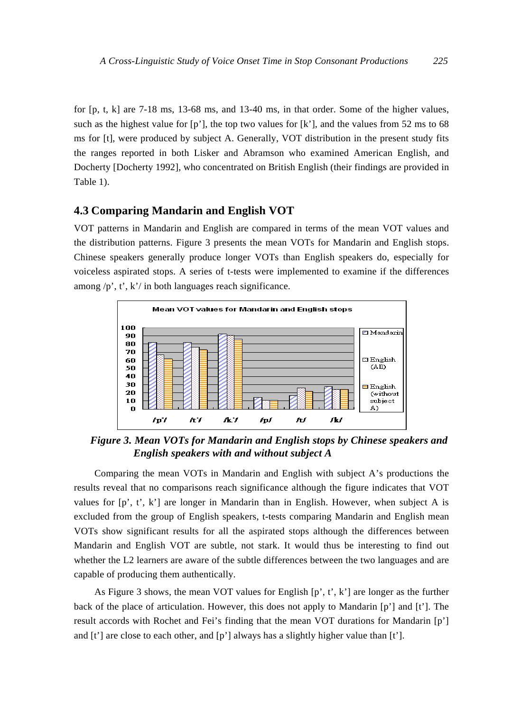for [p, t, k] are 7-18 ms, 13-68 ms, and 13-40 ms, in that order. Some of the higher values, such as the highest value for  $[p']$ , the top two values for  $[k']$ , and the values from 52 ms to 68 ms for [t], were produced by subject A. Generally, VOT distribution in the present study fits the ranges reported in both Lisker and Abramson who examined American English, and Docherty [Docherty 1992], who concentrated on British English (their findings are provided in Table 1).

## **4.3 Comparing Mandarin and English VOT**

VOT patterns in Mandarin and English are compared in terms of the mean VOT values and the distribution patterns. Figure 3 presents the mean VOTs for Mandarin and English stops. Chinese speakers generally produce longer VOTs than English speakers do, especially for voiceless aspirated stops. A series of t-tests were implemented to examine if the differences among  $/p$ , t', k'/ in both languages reach significance.



*Figure 3. Mean VOTs for Mandarin and English stops by Chinese speakers and English speakers with and without subject A* 

Comparing the mean VOTs in Mandarin and English with subject A's productions the results reveal that no comparisons reach significance although the figure indicates that VOT values for  $[p', t', k']$  are longer in Mandarin than in English. However, when subject A is excluded from the group of English speakers, t-tests comparing Mandarin and English mean VOTs show significant results for all the aspirated stops although the differences between Mandarin and English VOT are subtle, not stark. It would thus be interesting to find out whether the L2 learners are aware of the subtle differences between the two languages and are capable of producing them authentically.

As Figure 3 shows, the mean VOT values for English  $[p, t', k']$  are longer as the further back of the place of articulation. However, this does not apply to Mandarin [p'] and [t']. The result accords with Rochet and Fei's finding that the mean VOT durations for Mandarin [p'] and  $[t']$  are close to each other, and  $[p']$  always has a slightly higher value than  $[t']$ .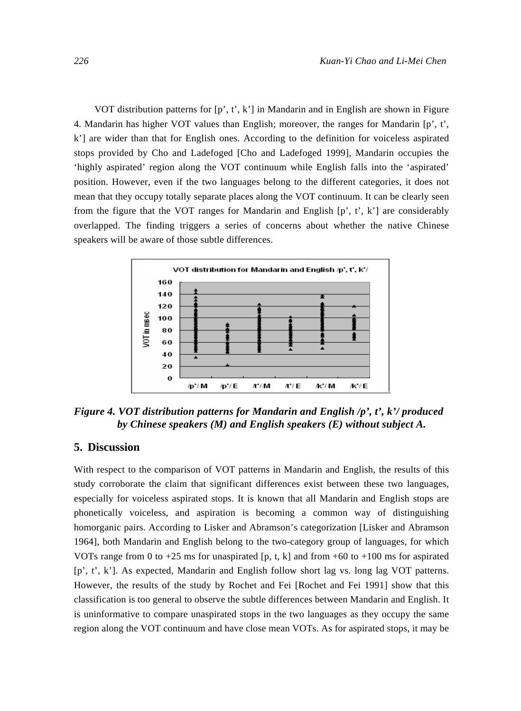VOT distribution patterns for [p', t', k'] in Mandarin and in English are shown in Figure 4. Mandarin has higher VOT values than English; moreover, the ranges for Mandarin  $[p', t',]$ k'] are wider than that for English ones. According to the definition for voiceless aspirated stops provided by Cho and Ladefoged [Cho and Ladefoged 1999], Mandarin occupies the 'highly aspirated' region along the VOT continuum while English falls into the 'aspirated' position. However, even if the two languages belong to the different categories, it does not mean that they occupy totally separate places along the VOT continuum. It can be clearly seen from the figure that the VOT ranges for Mandarin and English  $[p', t', k']$  are considerably overlapped. The finding triggers a series of concerns about whether the native Chinese speakers will be aware of those subtle differences.



*Figure 4. VOT distribution patterns for Mandarin and English /p', t', k'/ produced by Chinese speakers (M) and English speakers (E) without subject A.* 

## **5. Discussion**

With respect to the comparison of VOT patterns in Mandarin and English, the results of this study corroborate the claim that significant differences exist between these two languages, especially for voiceless aspirated stops. It is known that all Mandarin and English stops are phonetically voiceless, and aspiration is becoming a common way of distinguishing homorganic pairs. According to Lisker and Abramson's categorization [Lisker and Abramson 1964], both Mandarin and English belong to the two-category group of languages, for which VOTs range from 0 to  $+25$  ms for unaspirated [p, t, k] and from  $+60$  to  $+100$  ms for aspirated [p', t', k']. As expected, Mandarin and English follow short lag vs. long lag VOT patterns. However, the results of the study by Rochet and Fei [Rochet and Fei 1991] show that this classification is too general to observe the subtle differences between Mandarin and English. It is uninformative to compare unaspirated stops in the two languages as they occupy the same region along the VOT continuum and have close mean VOTs. As for aspirated stops, it may be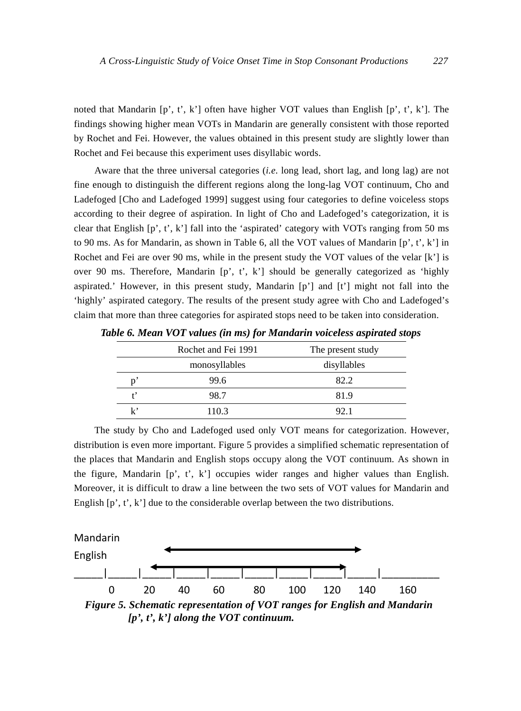noted that Mandarin  $[p', t', k']$  often have higher VOT values than English  $[p', t', k']$ . The findings showing higher mean VOTs in Mandarin are generally consistent with those reported by Rochet and Fei. However, the values obtained in this present study are slightly lower than Rochet and Fei because this experiment uses disyllabic words.

Aware that the three universal categories (*i.e*. long lead, short lag, and long lag) are not fine enough to distinguish the different regions along the long-lag VOT continuum, Cho and Ladefoged [Cho and Ladefoged 1999] suggest using four categories to define voiceless stops according to their degree of aspiration. In light of Cho and Ladefoged's categorization, it is clear that English  $[p', t', k']$  fall into the 'aspirated' category with VOTs ranging from 50 ms to 90 ms. As for Mandarin, as shown in Table 6, all the VOT values of Mandarin  $[p', t', k']$  in Rochet and Fei are over 90 ms, while in the present study the VOT values of the velar [k'] is over 90 ms. Therefore, Mandarin [p', t', k'] should be generally categorized as 'highly aspirated.' However, in this present study, Mandarin  $[p']$  and  $[t']$  might not fall into the 'highly' aspirated category. The results of the present study agree with Cho and Ladefoged's claim that more than three categories for aspirated stops need to be taken into consideration.

|     | Rochet and Fei 1991 | The present study |
|-----|---------------------|-------------------|
|     | monosyllables       | disyllables       |
|     | 99.6                | 82.2              |
|     | 98.7                | 81.9              |
| ı,, | 110.3               | 92.1              |

*Table 6. Mean VOT values (in ms) for Mandarin voiceless aspirated stops* 

The study by Cho and Ladefoged used only VOT means for categorization. However, distribution is even more important. Figure 5 provides a simplified schematic representation of the places that Mandarin and English stops occupy along the VOT continuum. As shown in the figure, Mandarin [p', t', k'] occupies wider ranges and higher values than English. Moreover, it is difficult to draw a line between the two sets of VOT values for Mandarin and English  $[p', t', k']$  due to the considerable overlap between the two distributions.



*[p', t', k'] along the VOT continuum.*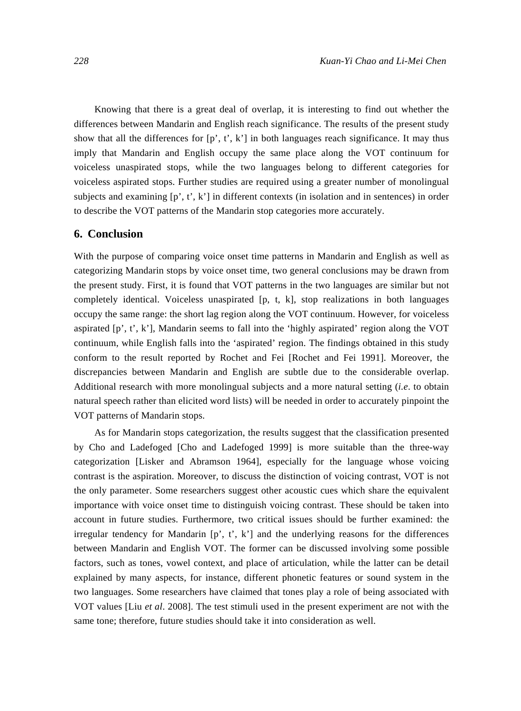Knowing that there is a great deal of overlap, it is interesting to find out whether the differences between Mandarin and English reach significance. The results of the present study show that all the differences for  $[p', t', k']$  in both languages reach significance. It may thus imply that Mandarin and English occupy the same place along the VOT continuum for voiceless unaspirated stops, while the two languages belong to different categories for voiceless aspirated stops. Further studies are required using a greater number of monolingual subjects and examining  $[p', t', k']$  in different contexts (in isolation and in sentences) in order to describe the VOT patterns of the Mandarin stop categories more accurately.

## **6. Conclusion**

With the purpose of comparing voice onset time patterns in Mandarin and English as well as categorizing Mandarin stops by voice onset time, two general conclusions may be drawn from the present study. First, it is found that VOT patterns in the two languages are similar but not completely identical. Voiceless unaspirated [p, t, k], stop realizations in both languages occupy the same range: the short lag region along the VOT continuum. However, for voiceless aspirated [p', t', k'], Mandarin seems to fall into the 'highly aspirated' region along the VOT continuum, while English falls into the 'aspirated' region. The findings obtained in this study conform to the result reported by Rochet and Fei [Rochet and Fei 1991]. Moreover, the discrepancies between Mandarin and English are subtle due to the considerable overlap. Additional research with more monolingual subjects and a more natural setting (*i.e*. to obtain natural speech rather than elicited word lists) will be needed in order to accurately pinpoint the VOT patterns of Mandarin stops.

As for Mandarin stops categorization, the results suggest that the classification presented by Cho and Ladefoged [Cho and Ladefoged 1999] is more suitable than the three-way categorization [Lisker and Abramson 1964], especially for the language whose voicing contrast is the aspiration. Moreover, to discuss the distinction of voicing contrast, VOT is not the only parameter. Some researchers suggest other acoustic cues which share the equivalent importance with voice onset time to distinguish voicing contrast. These should be taken into account in future studies. Furthermore, two critical issues should be further examined: the irregular tendency for Mandarin  $[p, t', k']$  and the underlying reasons for the differences between Mandarin and English VOT. The former can be discussed involving some possible factors, such as tones, vowel context, and place of articulation, while the latter can be detail explained by many aspects, for instance, different phonetic features or sound system in the two languages. Some researchers have claimed that tones play a role of being associated with VOT values [Liu *et al*. 2008]. The test stimuli used in the present experiment are not with the same tone; therefore, future studies should take it into consideration as well.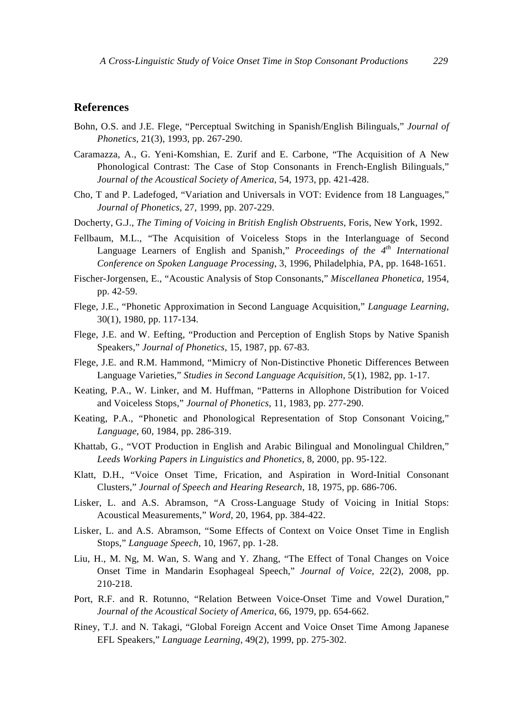## **References**

- Bohn, O.S. and J.E. Flege, "Perceptual Switching in Spanish/English Bilinguals," *Journal of Phonetics,* 21(3), 1993, pp. 267-290.
- Caramazza, A., G. Yeni-Komshian, E. Zurif and E. Carbone, "The Acquisition of A New Phonological Contrast: The Case of Stop Consonants in French-English Bilinguals," *Journal of the Acoustical Society of America*, 54, 1973, pp. 421-428.
- Cho, T and P. Ladefoged, "Variation and Universals in VOT: Evidence from 18 Languages," *Journal of Phonetics*, 27, 1999, pp. 207-229.
- Docherty, G.J., *The Timing of Voicing in British English Obstruents,* Foris, New York, 1992.
- Fellbaum, M.L., "The Acquisition of Voiceless Stops in the Interlanguage of Second Language Learners of English and Spanish," *Proceedings of the 4th International Conference on Spoken Language Processing*, 3, 1996, Philadelphia, PA, pp. 1648-1651.
- Fischer-Jorgensen, E., "Acoustic Analysis of Stop Consonants," *Miscellanea Phonetica,* 1954, pp. 42-59.
- Flege, J.E., "Phonetic Approximation in Second Language Acquisition," *Language Learning*, 30(1), 1980, pp. 117-134.
- Flege, J.E. and W. Eefting, "Production and Perception of English Stops by Native Spanish Speakers," *Journal of Phonetics,* 15, 1987, pp. 67-83.
- Flege, J.E. and R.M. Hammond, "Mimicry of Non-Distinctive Phonetic Differences Between Language Varieties," *Studies in Second Language Acquisition*, 5(1), 1982, pp. 1-17.
- Keating, P.A., W. Linker, and M. Huffman, "Patterns in Allophone Distribution for Voiced and Voiceless Stops," *Journal of Phonetics*, 11, 1983, pp. 277-290.
- Keating, P.A., "Phonetic and Phonological Representation of Stop Consonant Voicing," *Language*, 60, 1984, pp. 286-319.
- Khattab, G., "VOT Production in English and Arabic Bilingual and Monolingual Children," *Leeds Working Papers in Linguistics and Phonetics*, 8, 2000, pp. 95-122.
- Klatt, D.H., "Voice Onset Time, Frication, and Aspiration in Word-Initial Consonant Clusters," *Journal of Speech and Hearing Research*, 18, 1975, pp. 686-706.
- Lisker, L. and A.S. Abramson, "A Cross-Language Study of Voicing in Initial Stops: Acoustical Measurements," *Word*, 20, 1964, pp. 384-422.
- Lisker, L. and A.S. Abramson, "Some Effects of Context on Voice Onset Time in English Stops," *Language Speech,* 10, 1967, pp. 1-28.
- Liu, H., M. Ng, M. Wan, S. Wang and Y. Zhang, "The Effect of Tonal Changes on Voice Onset Time in Mandarin Esophageal Speech," *Journal of Voice,* 22(2), 2008, pp. 210-218.
- Port, R.F. and R. Rotunno, "Relation Between Voice-Onset Time and Vowel Duration," *Journal of the Acoustical Society of America*, 66, 1979, pp. 654-662.
- Riney, T.J. and N. Takagi, "Global Foreign Accent and Voice Onset Time Among Japanese EFL Speakers," *Language Learning,* 49(2), 1999, pp. 275-302.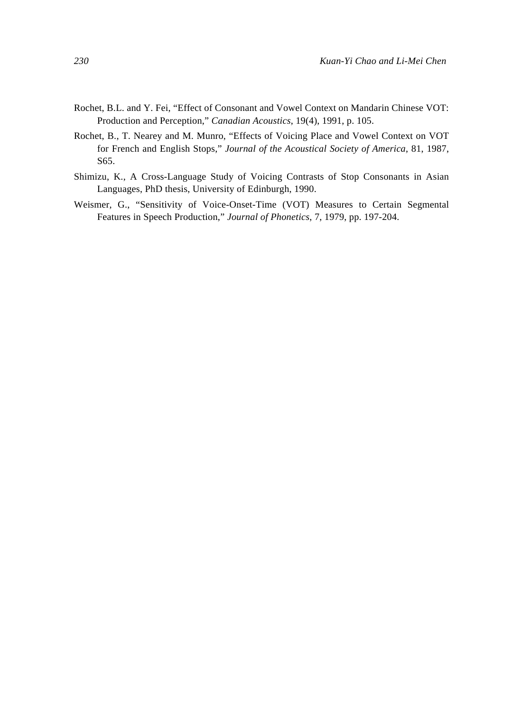- Rochet, B.L. and Y. Fei, "Effect of Consonant and Vowel Context on Mandarin Chinese VOT: Production and Perception," *Canadian Acoustics*, 19(4), 1991, p. 105.
- Rochet, B., T. Nearey and M. Munro, "Effects of Voicing Place and Vowel Context on VOT for French and English Stops," *Journal of the Acoustical Society of America*, 81, 1987, S65.
- Shimizu, K., A Cross-Language Study of Voicing Contrasts of Stop Consonants in Asian Languages, PhD thesis, University of Edinburgh, 1990.
- Weismer, G., "Sensitivity of Voice-Onset-Time (VOT) Measures to Certain Segmental Features in Speech Production," *Journal of Phonetics*, 7, 1979, pp. 197-204.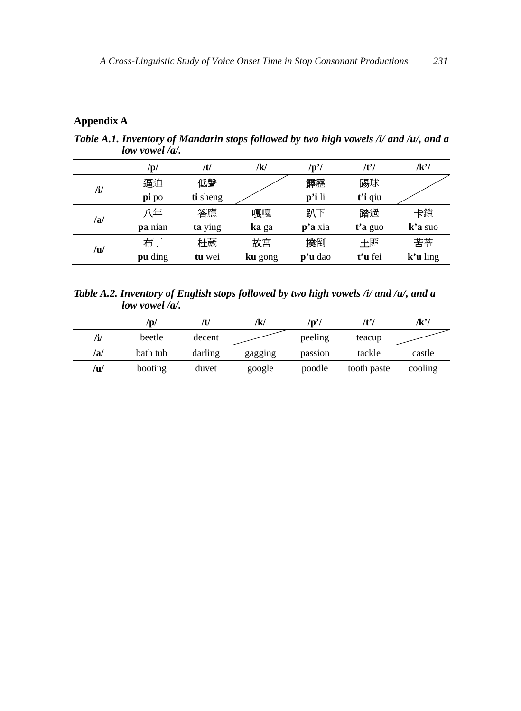## **Appendix A**

*Table A.1. Inventory of Mandarin stops followed by two high vowels /i/ and /u/, and a low vowel /a/.* 

|              | /p/            | /t/      | /k/     | /p'                 | $/t^2$  | /k'/                |
|--------------|----------------|----------|---------|---------------------|---------|---------------------|
| $\mathbf{h}$ | 逼迫             | 低聲       |         | 霹靂                  | 踢球      |                     |
|              | pi po          | ti sheng |         | $\mathbf{p'i}$ li   | t'i qiu |                     |
| /a/          | 八年             | 答應       | 嘎嘎      | 趴下                  | 踏過      | 卡鎖                  |
|              | <b>pa</b> nian | ta ying  | ka ga   | $\mathbf{p}$ 'a xia | t'a guo | $\mathbf{k}'$ a suo |
| /u/          | 布丁             | 杜葳       | 故宮      | 撲倒                  | 土匪      | 苦苓                  |
|              | pu ding        | tu wei   | ku gong | $\mathbf{p}$ 'u dao | t'u fei | $k'u$ ling          |

*Table A.2. Inventory of English stops followed by two high vowels /i/ and /u/, and a low vowel /a/.* 

|     | $\mathbf{p}/$ | /U      | /k/     | /p' <sub>/</sub> | /t'         | /k'/    |
|-----|---------------|---------|---------|------------------|-------------|---------|
| /i/ | beetle        | decent  |         | peeling          | teacup      |         |
| /a/ | bath tub      | darling | gagging | passion          | tackle      | castle  |
| /u/ | booting       | duvet   | google  | poodle           | tooth paste | cooling |